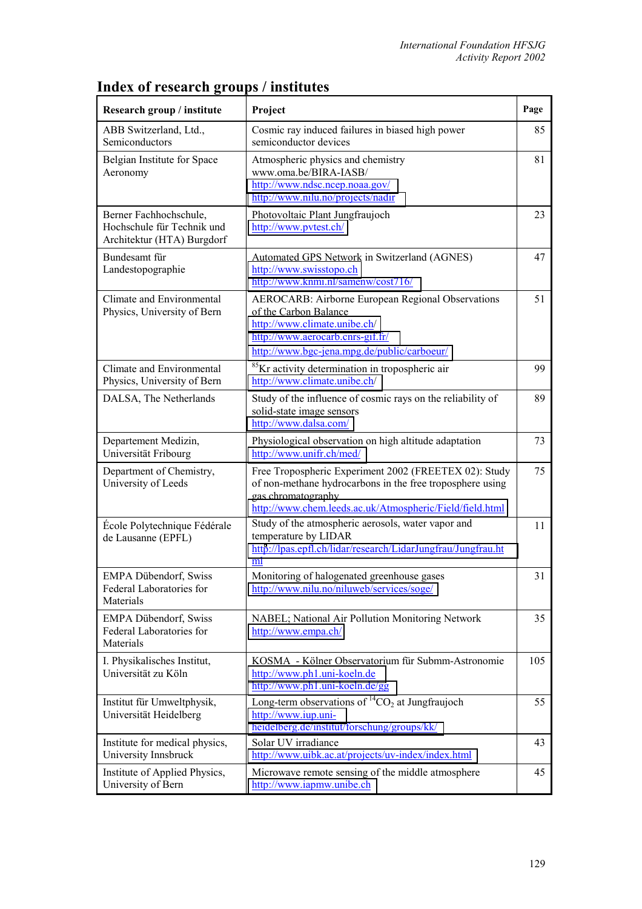| Research group / institute                                                         | Project                                                                                                                                                                                              | Page |
|------------------------------------------------------------------------------------|------------------------------------------------------------------------------------------------------------------------------------------------------------------------------------------------------|------|
| ABB Switzerland, Ltd.,<br>Semiconductors                                           | Cosmic ray induced failures in biased high power<br>semiconductor devices                                                                                                                            | 85   |
| Belgian Institute for Space<br>Aeronomy                                            | Atmospheric physics and chemistry<br>www.oma.be/BIRA-IASB/<br>http://www.ndsc.ncep.noaa.gov/<br>http://www.nilu.no/projects/nadir                                                                    | 81   |
| Berner Fachhochschule,<br>Hochschule für Technik und<br>Architektur (HTA) Burgdorf | Photovoltaic Plant Jungfraujoch<br>http://www.pvtest.ch/                                                                                                                                             | 23   |
| Bundesamt für<br>Landestopographie                                                 | Automated GPS Network in Switzerland (AGNES)<br>http://www.swisstopo.ch<br>http://www.knmi.nl/samenw/cost716/                                                                                        | 47   |
| Climate and Environmental<br>Physics, University of Bern                           | AEROCARB: Airborne European Regional Observations<br>of the Carbon Balance<br>http://www.climate.unibe.ch/<br>http://www.aerocarb.cnrs-gif.fr/<br>http://www.bgc-jena.mpg.de/public/carboeur/        | 51   |
| Climate and Environmental<br>Physics, University of Bern                           | <sup>85</sup> Kr activity determination in tropospheric air<br>http://www.climate.unibe.ch/                                                                                                          | 99   |
| DALSA, The Netherlands                                                             | Study of the influence of cosmic rays on the reliability of<br>solid-state image sensors<br>http://www.dalsa.com/                                                                                    | 89   |
| Departement Medizin,<br>Universität Fribourg                                       | Physiological observation on high altitude adaptation<br>http://www.unifr.ch/med/                                                                                                                    | 73   |
| Department of Chemistry,<br>University of Leeds                                    | Free Tropospheric Experiment 2002 (FREETEX 02): Study<br>of non-methane hydrocarbons in the free troposphere using<br>gas chromatography<br>http://www.chem.leeds.ac.uk/Atmospheric/Field/field.html | 75   |
| École Polytechnique Fédérale<br>de Lausanne (EPFL)                                 | Study of the atmospheric aerosols, water vapor and<br>temperature by LIDAR<br>http://lpas.epfl.ch/lidar/research/LidarJungfrau/Jungfrau.ht<br>ml                                                     | 11   |
| <b>EMPA Dübendorf, Swiss</b><br>Federal Laboratories for<br>Materials              | Monitoring of halogenated greenhouse gases<br>http://www.nilu.no/niluweb/services/soge/                                                                                                              | 31   |
| <b>EMPA Dübendorf, Swiss</b><br>Federal Laboratories for<br>Materials              | NABEL; National Air Pollution Monitoring Network<br>http://www.empa.ch/                                                                                                                              | 35   |
| I. Physikalisches Institut,<br>Universität zu Köln                                 | KOSMA - Kölner Observatorium für Submm-Astronomie<br>http://www.ph1.uni-koeln.de<br>http://www.ph1.uni-koeln.de/gg                                                                                   | 105  |
| Institut für Umweltphysik,<br>Universität Heidelberg                               | Long-term observations of <sup>14</sup> CO <sub>2</sub> at Jungfraujoch<br>http://www.iup.uni-<br>heidelberg.de/institut/forschung/groups/kk/                                                        | 55   |
| Institute for medical physics,<br>University Innsbruck                             | Solar UV irradiance<br>http://www.uibk.ac.at/projects/uv-index/index.html                                                                                                                            | 43   |
| Institute of Applied Physics,<br>University of Bern                                | Microwave remote sensing of the middle atmosphere<br>http://www.iapmw.unibe.ch                                                                                                                       | 45   |

## **Index of research groups / institutes**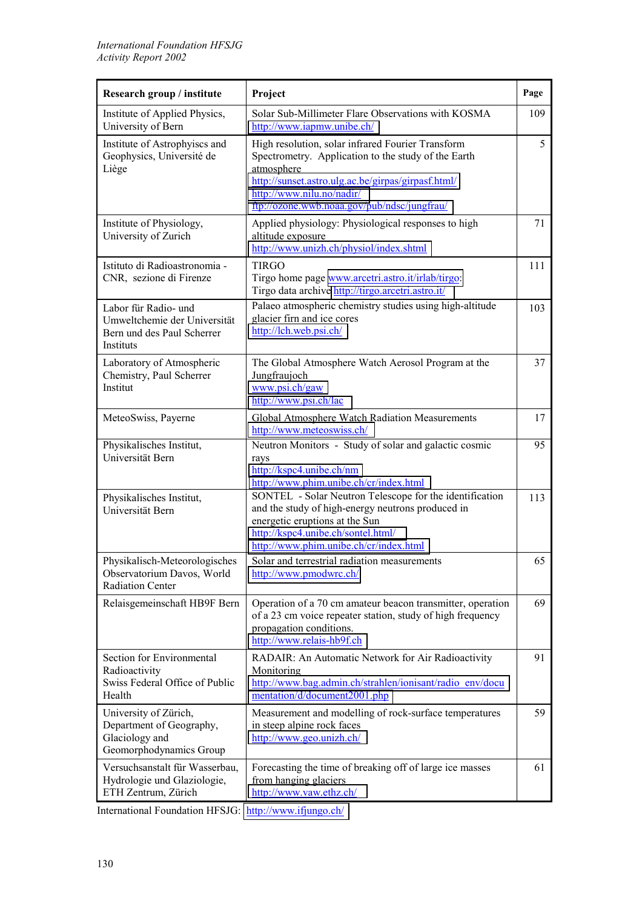| Research group / institute                                                                      | Project                                                                                                                                                                                                                                                  | Page |
|-------------------------------------------------------------------------------------------------|----------------------------------------------------------------------------------------------------------------------------------------------------------------------------------------------------------------------------------------------------------|------|
| Institute of Applied Physics,<br>University of Bern                                             | Solar Sub-Millimeter Flare Observations with KOSMA<br>http://www.iapmw.unibe.ch/                                                                                                                                                                         | 109  |
| Institute of Astrophyiscs and<br>Geophysics, Université de<br>Liège                             | High resolution, solar infrared Fourier Transform<br>Spectrometry. Application to the study of the Earth<br>atmosphere<br>http://sunset.astro.ulg.ac.be/girpas/girpasf.html/<br>http://www.nilu.no/nadir/<br>ftp://ozone.wwb.noaa.gov/pub/ndsc/jungfrau/ | 5    |
| Institute of Physiology,<br>University of Zurich                                                | Applied physiology: Physiological responses to high<br>altitude exposure<br>http://www.unizh.ch/physiol/index.shtml                                                                                                                                      | 71   |
| Istituto di Radioastronomia -<br>CNR, sezione di Firenze                                        | <b>TIRGO</b><br>Tirgo home page www.arcetri.astro.it/irlab/tirgo:<br>Tirgo data archive http://tirgo.arcetri.astro.it/                                                                                                                                   | 111  |
| Labor für Radio- und<br>Umweltchemie der Universität<br>Bern und des Paul Scherrer<br>Instituts | Palaeo atmospheric chemistry studies using high-altitude<br>glacier firn and ice cores<br>http://lch.web.psi.ch/                                                                                                                                         | 103  |
| Laboratory of Atmospheric<br>Chemistry, Paul Scherrer<br>Institut                               | The Global Atmosphere Watch Aerosol Program at the<br>Jungfraujoch<br>www.psi.ch/gaw<br>http://www.psi.ch/lac                                                                                                                                            | 37   |
| MeteoSwiss, Payerne                                                                             | Global Atmosphere Watch Radiation Measurements<br>http://www.meteoswiss.ch/                                                                                                                                                                              | 17   |
| Physikalisches Institut,<br>Universität Bern                                                    | Neutron Monitors - Study of solar and galactic cosmic<br>rays<br>http://kspc4.unibe.ch/nm<br>http://www.phim.unibe.ch/cr/index.html                                                                                                                      | 95   |
| Physikalisches Institut,<br>Universität Bern                                                    | SONTEL - Solar Neutron Telescope for the identification<br>and the study of high-energy neutrons produced in<br>energetic eruptions at the Sun<br>http://kspc4.unibe.ch/sontel.html/<br>http://www.phim.unibe.ch/cr/index.html                           | 113  |
| Physikalisch-Meteorologisches<br>Observatorium Davos, World<br><b>Radiation Center</b>          | Solar and terrestrial radiation measurements<br>http://www.pmodwrc.ch/                                                                                                                                                                                   | 65   |
| Relaisgemeinschaft HB9F Bern                                                                    | Operation of a 70 cm amateur beacon transmitter, operation<br>of a 23 cm voice repeater station, study of high frequency<br>propagation conditions.<br>http://www.relais-hb9f.ch                                                                         | 69   |
| Section for Environmental<br>Radioactivity<br>Swiss Federal Office of Public<br>Health          | RADAIR: An Automatic Network for Air Radioactivity<br>Monitoring<br>http://www.bag.admin.ch/strahlen/ionisant/radio_env/docu<br>mentation/d/document2001.php                                                                                             | 91   |
| University of Zürich,<br>Department of Geography,<br>Glaciology and<br>Geomorphodynamics Group  | Measurement and modelling of rock-surface temperatures<br>in steep alpine rock faces<br>http://www.geo.unizh.ch/                                                                                                                                         | 59   |
| Versuchsanstalt für Wasserbau,<br>Hydrologie und Glaziologie,<br>ETH Zentrum, Zürich            | Forecasting the time of breaking off of large ice masses<br>from hanging glaciers<br>http://www.yaw.ethz.ch/                                                                                                                                             | 61   |

International Foundation HFSJG: <http://www.ifjungo.ch/>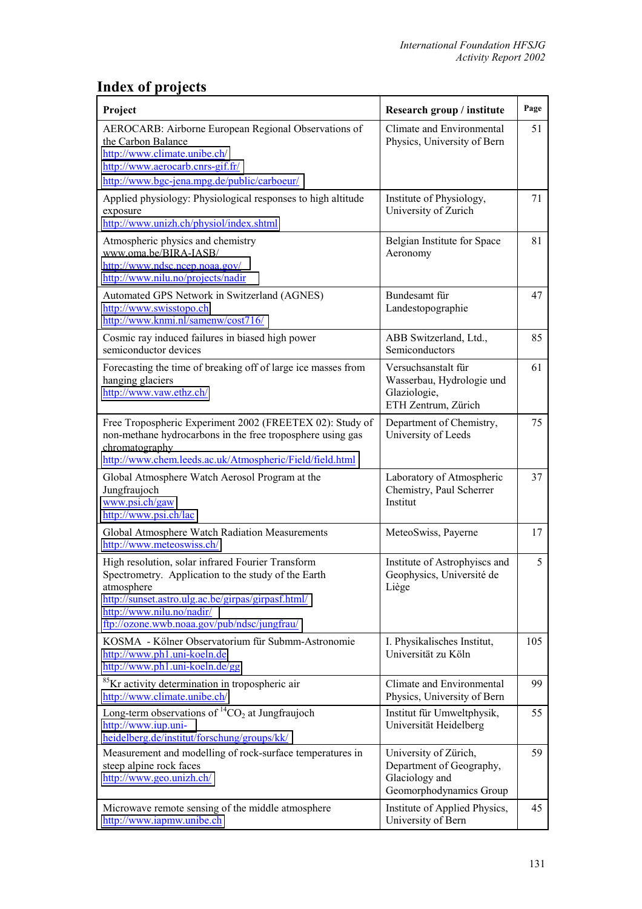## **Index of projects**

| Project                                                                                                                                                                                                                                                  | Research group / institute                                                                     | Page |
|----------------------------------------------------------------------------------------------------------------------------------------------------------------------------------------------------------------------------------------------------------|------------------------------------------------------------------------------------------------|------|
| AEROCARB: Airborne European Regional Observations of<br>the Carbon Balance<br>http://www.climate.unibe.ch/<br>http://www.aerocarb.cnrs-gif.fr/<br>http://www.bgc-jena.mpg.de/public/carboeur/                                                            | Climate and Environmental<br>Physics, University of Bern                                       | 51   |
| Applied physiology: Physiological responses to high altitude<br>exposure<br>http://www.unizh.ch/physiol/index.shtml                                                                                                                                      | Institute of Physiology,<br>University of Zurich                                               | 71   |
| Atmospheric physics and chemistry<br>www.oma.be/BIRA-IASB/<br>http://www.ndsc.ncep.noaa.gov/<br>http://www.nilu.no/projects/nadir                                                                                                                        | Belgian Institute for Space<br>Aeronomy                                                        | 81   |
| Automated GPS Network in Switzerland (AGNES)<br>http://www.swisstopo.ch<br>http://www.knmi.nl/samenw/cost716/                                                                                                                                            | Bundesamt für<br>Landestopographie                                                             | 47   |
| Cosmic ray induced failures in biased high power<br>semiconductor devices                                                                                                                                                                                | ABB Switzerland, Ltd.,<br>Semiconductors                                                       | 85   |
| Forecasting the time of breaking off of large ice masses from<br>hanging glaciers<br>http://www.vaw.ethz.ch/                                                                                                                                             | Versuchsanstalt für<br>Wasserbau, Hydrologie und<br>Glaziologie,<br>ETH Zentrum, Zürich        | 61   |
| Free Tropospheric Experiment 2002 (FREETEX 02): Study of<br>non-methane hydrocarbons in the free troposphere using gas<br>chromatography<br>http://www.chem.leeds.ac.uk/Atmospheric/Field/field.html                                                     | Department of Chemistry,<br>University of Leeds                                                | 75   |
| Global Atmosphere Watch Aerosol Program at the<br>Jungfraujoch<br>www.psi.ch/gaw<br>http://www.psi.ch/lac                                                                                                                                                | Laboratory of Atmospheric<br>Chemistry, Paul Scherrer<br>Institut                              | 37   |
| Global Atmosphere Watch Radiation Measurements<br>http://www.meteoswiss.ch/                                                                                                                                                                              | MeteoSwiss, Payerne                                                                            | 17   |
| High resolution, solar infrared Fourier Transform<br>Spectrometry. Application to the study of the Earth<br>atmosphere<br>http://sunset.astro.ulg.ac.be/girpas/girpasf.html/<br>http://www.nilu.no/nadir/<br>ftp://ozone.wwb.noaa.gov/pub/ndsc/jungfrau/ | Institute of Astrophyiscs and<br>Geophysics, Université de<br>Liège                            | 5    |
| KOSMA - Kölner Observatorium für Submm-Astronomie<br>http://www.ph1.uni-koeln.de<br>http://www.ph1.uni-koeln.de/gg                                                                                                                                       | I. Physikalisches Institut,<br>Universität zu Köln                                             | 105  |
| <sup>85</sup> Kr activity determination in tropospheric air<br>http://www.climate.unibe.ch/                                                                                                                                                              | Climate and Environmental<br>Physics, University of Bern                                       | 99   |
| Long-term observations of ${}^{14}CO_2$ at Jungfraujoch<br>http://www.iup.uni-<br>heidelberg.de/institut/forschung/groups/kk/                                                                                                                            | Institut für Umweltphysik,<br>Universität Heidelberg                                           | 55   |
| Measurement and modelling of rock-surface temperatures in<br>steep alpine rock faces<br>http://www.geo.unizh.ch/                                                                                                                                         | University of Zürich,<br>Department of Geography,<br>Glaciology and<br>Geomorphodynamics Group | 59   |
| Microwave remote sensing of the middle atmosphere<br>http://www.iapmw.unibe.ch                                                                                                                                                                           | Institute of Applied Physics,<br>University of Bern                                            | 45   |